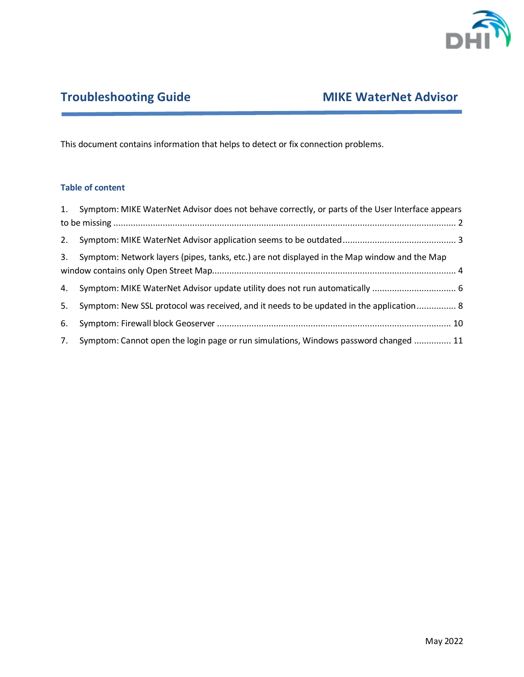

# **Troubleshooting Guide MIKE WaterNet Advisor**

This document contains information that helps to detect or fix connection problems.

# **Table of content**

|    | 1. Symptom: MIKE WaterNet Advisor does not behave correctly, or parts of the User Interface appears |  |
|----|-----------------------------------------------------------------------------------------------------|--|
|    |                                                                                                     |  |
|    |                                                                                                     |  |
| 3. | Symptom: Network layers (pipes, tanks, etc.) are not displayed in the Map window and the Map        |  |
| 4. |                                                                                                     |  |
| 5. | Symptom: New SSL protocol was received, and it needs to be updated in the application 8             |  |
| 6. |                                                                                                     |  |
| 7. | Symptom: Cannot open the login page or run simulations, Windows password changed  11                |  |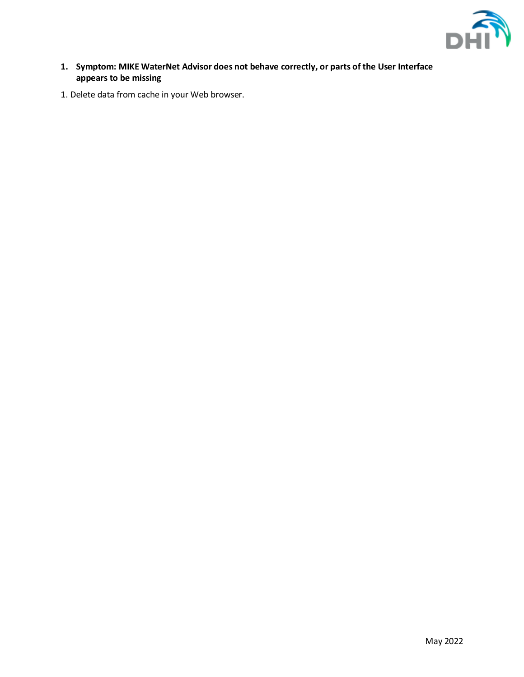

- <span id="page-1-0"></span>**1. Symptom: MIKE WaterNet Advisor does not behave correctly, or parts of the User Interface appears to be missing**
- 1. Delete data from cache in your Web browser.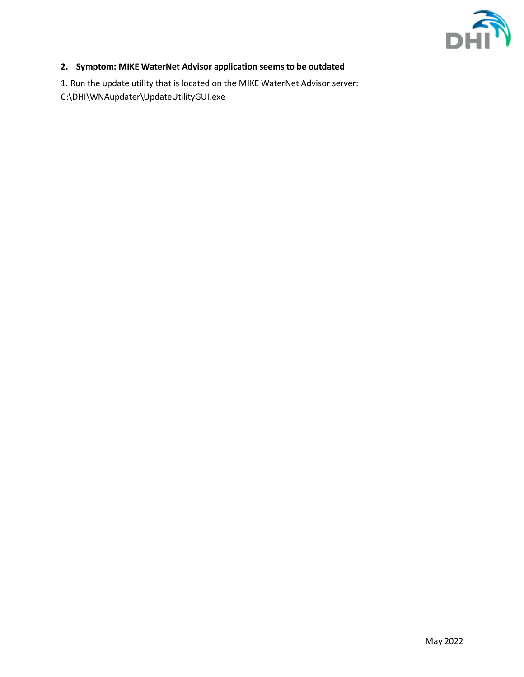

# <span id="page-2-0"></span>**2. Symptom: MIKE WaterNet Advisor application seems to be outdated**

1. Run the update utility that is located on the MIKE WaterNet Advisor server:

C:\DHI\WNAupdater\UpdateUtilityGUI.exe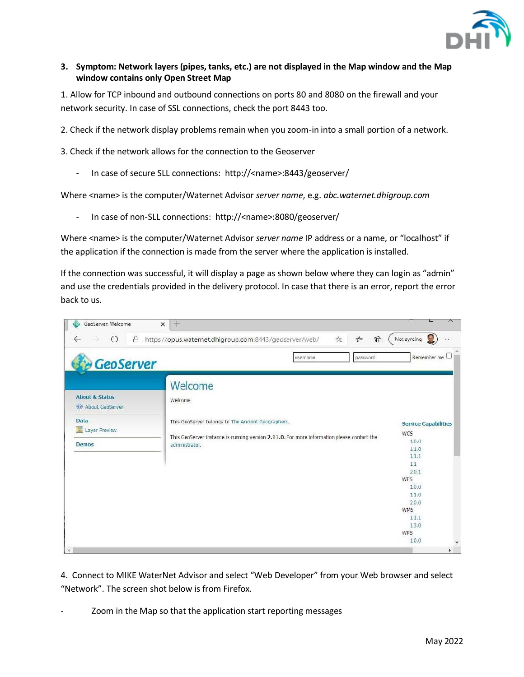

# <span id="page-3-0"></span>**3. Symptom: Network layers (pipes, tanks, etc.) are not displayed in the Map window and the Map window contains only Open Street Map**

1. Allow for TCP inbound and outbound connections on ports 80 and 8080 on the firewall and your network security. In case of SSL connections, check the port 8443 too.

2. Check if the network display problems remain when you zoom-in into a small portion of a network.

3. Check if the network allows for the connection to the Geoserver

- In case of secure SLL connections: http://<name>:8443/geoserver/

Where <name> is the computer/Waternet Advisor *server name*, e.g. *abc.waternet.dhigroup.com*

- In case of non-SLL connections: http://<name>:8080/geoserver/

Where <name> is the computer/Waternet Advisor *server name* IP address or a name, or "localhost" if the application if the connection is made from the server where the application is installed.

If the connection was successful, it will display a page as shown below where they can login as "admin" and use the credentials provided in the delivery protocol. In case that there is an error, report the error back to us.

| GeoServer                                                                           | password<br>username                                                                                                                                                                     | Remember me                                                                                                                                            |
|-------------------------------------------------------------------------------------|------------------------------------------------------------------------------------------------------------------------------------------------------------------------------------------|--------------------------------------------------------------------------------------------------------------------------------------------------------|
| <b>About &amp; Status</b><br>About GeoServer<br>Data<br>巡<br>Layer Preview<br>Demos | Welcome<br>Welcome<br>This GeoServer belongs to The Ancient Geographers.<br>This GeoServer instance is running version 2.11.0. For more information please contact the<br>administrator. | <b>Service Capabilities</b><br>WCS<br>1.0.0<br>1.1.0<br>1.1.1<br>1.1<br>2.0.1<br><b>WFS</b><br>1.0.0<br>1.1.0<br>2.0.0<br><b>WMS</b><br>1.1.1<br>1.3.0 |

4. Connect to MIKE WaterNet Advisor and select "Web Developer" from your Web browser and select "Network". The screen shot below is from Firefox.

Zoom in the Map so that the application start reporting messages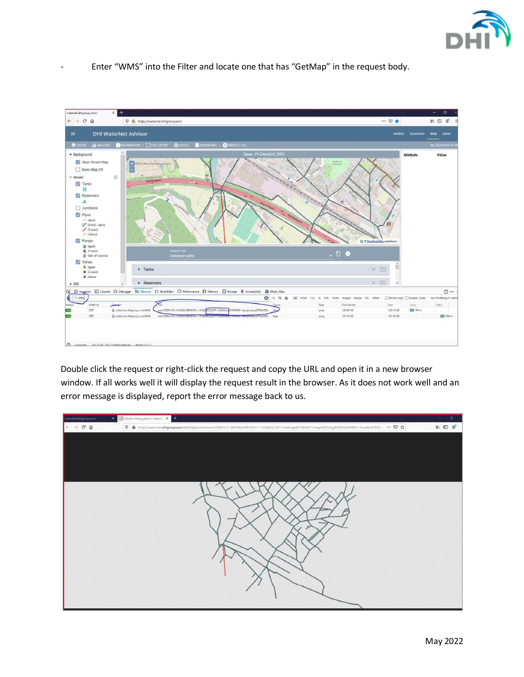

Enter "WMS" into the Filter and locate one that has "GetMap" in the request body.



Double click the request or right-click the request and copy the URL and open it in a new browser window. If all works well it will display the request result in the browser. As it does not work well and an error message is displayed, report the error message back to us.

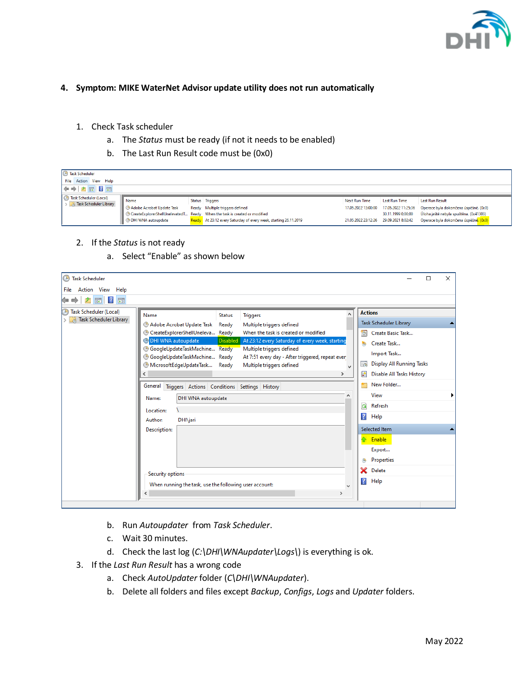

# <span id="page-5-0"></span>**4. Symptom: MIKE WaterNet Advisor update utility does not run automatically**

- 1. Check Task scheduler
	- a. The *Status* must be ready (if not it needs to be enabled)
	- b. The Last Run Result code must be (0x0)

| <b>B</b> Task Scheduler<br>File Action View Help<br>$\Leftrightarrow$ $\blacktriangleright$ $\blacktriangleright$ $\blacksquare$ $\blacksquare$ |                                                                |                                                                                                                                                                                                                  |                                                                                |                                                            |                                                                                                                                                    |
|-------------------------------------------------------------------------------------------------------------------------------------------------|----------------------------------------------------------------|------------------------------------------------------------------------------------------------------------------------------------------------------------------------------------------------------------------|--------------------------------------------------------------------------------|------------------------------------------------------------|----------------------------------------------------------------------------------------------------------------------------------------------------|
| <sup>4</sup> Task Scheduler (Local)<br>Task Scheduler Library                                                                                   | Name<br>Adobe Acrobat Update Task<br><b>DHI WNA autoupdate</b> | Status Triggers<br>Ready Multiple triggers defined<br><sup>3</sup> CreateExplorerShellUnelevatedT Ready When the task is created or modified<br>Ready At 23:12 every Saturday of every week, starting 26.11.2019 | Next Run Time<br>17.05.2022 13:00:00<br>21.05.2022 23:12:26 29.09.2021 8:02:42 | Last Run Time<br>17.05.2022 11:25:36<br>30.11.1999 0:00:00 | <b>Last Run Result</b><br>Operace byla dokončena úspěšně. (0x0)<br>Úloha ještě nebyla spuštěna. (0x41303)<br>Operace byla dokončena úspěšně. (0x0) |

- 2. If the *Status* is not ready
	- a. Select "Enable" as shown below

| <b>B</b> Task Scheduler                                 |                                                                                                                                                                                                                                                                                                                                                                                                                                                                                                                      |                            | □                                                                                                                               | $\times$ |  |  |  |  |  |
|---------------------------------------------------------|----------------------------------------------------------------------------------------------------------------------------------------------------------------------------------------------------------------------------------------------------------------------------------------------------------------------------------------------------------------------------------------------------------------------------------------------------------------------------------------------------------------------|----------------------------|---------------------------------------------------------------------------------------------------------------------------------|----------|--|--|--|--|--|
| File Action View Help                                   |                                                                                                                                                                                                                                                                                                                                                                                                                                                                                                                      |                            |                                                                                                                                 |          |  |  |  |  |  |
| $? \n\Box$<br>着面<br>$\equiv$<br>⊜                       |                                                                                                                                                                                                                                                                                                                                                                                                                                                                                                                      |                            |                                                                                                                                 |          |  |  |  |  |  |
| <b>Task Scheduler (Local)</b><br>Task Scheduler Library | Name<br><b>Status</b><br><b>Triggers</b><br>Adobe Acrobat Update Task<br>Ready<br>Multiple triggers defined<br><sup>5</sup> CreateExplorerShellUneleva Ready<br>When the task is created or modified<br>DHI WNA autoupdate<br>Disabled<br>At 23:12 every Saturday of every week, starting<br><b>GoogleUpdateTaskMachine</b> Ready<br>Multiple triggers defined<br>GoogleUpdateTaskMachine Ready<br>At 7:51 every day - After triggered, repeat ever<br>MicrosoftEdgeUpdateTask<br>Multiple triggers defined<br>Ready | $\circledcirc$<br>T.<br>三本 | <b>Actions</b><br><b>Task Scheduler Library</b><br>Create Basic Task<br>Create Task<br>Import Task<br>Display All Running Tasks |          |  |  |  |  |  |
|                                                         |                                                                                                                                                                                                                                                                                                                                                                                                                                                                                                                      | 屠                          | Disable All Tasks History                                                                                                       |          |  |  |  |  |  |
|                                                         | General<br>Triggers Actions Conditions Settings History                                                                                                                                                                                                                                                                                                                                                                                                                                                              |                            | New Folder                                                                                                                      |          |  |  |  |  |  |
|                                                         | DHI WNA autoupdate<br>Name:                                                                                                                                                                                                                                                                                                                                                                                                                                                                                          |                            | View                                                                                                                            |          |  |  |  |  |  |
|                                                         | Location:                                                                                                                                                                                                                                                                                                                                                                                                                                                                                                            | Q                          | Refresh                                                                                                                         |          |  |  |  |  |  |
|                                                         | Author:<br><b>DHI</b> \jari                                                                                                                                                                                                                                                                                                                                                                                                                                                                                          | $\vert$ ?                  | Help                                                                                                                            |          |  |  |  |  |  |
|                                                         | Description:                                                                                                                                                                                                                                                                                                                                                                                                                                                                                                         |                            | Selected Item                                                                                                                   |          |  |  |  |  |  |
|                                                         |                                                                                                                                                                                                                                                                                                                                                                                                                                                                                                                      |                            | Enable<br><b>R</b>                                                                                                              |          |  |  |  |  |  |
|                                                         |                                                                                                                                                                                                                                                                                                                                                                                                                                                                                                                      |                            | Export                                                                                                                          |          |  |  |  |  |  |
|                                                         |                                                                                                                                                                                                                                                                                                                                                                                                                                                                                                                      |                            | <b>Properties</b>                                                                                                               |          |  |  |  |  |  |
|                                                         | Security options                                                                                                                                                                                                                                                                                                                                                                                                                                                                                                     | ×                          | Delete                                                                                                                          |          |  |  |  |  |  |
|                                                         | When running the task, use the following user account:<br>$\rightarrow$<br>∢                                                                                                                                                                                                                                                                                                                                                                                                                                         | $\overline{2}$             | Help                                                                                                                            |          |  |  |  |  |  |

- b. Run *Autoupdater* from *Task Scheduler*.
- c. Wait 30 minutes.
- d. Check the last log (*C:\DHI\WNAupdater\Logs\*) is everything is ok.
- 3. If the *Last Run Result* has a wrong code
	- a. Check *AutoUpdater* folder (*C\DHI\WNAupdater*).
	- b. Delete all folders and files except *Backup*, *Configs*, *Logs* and *Updater* folders.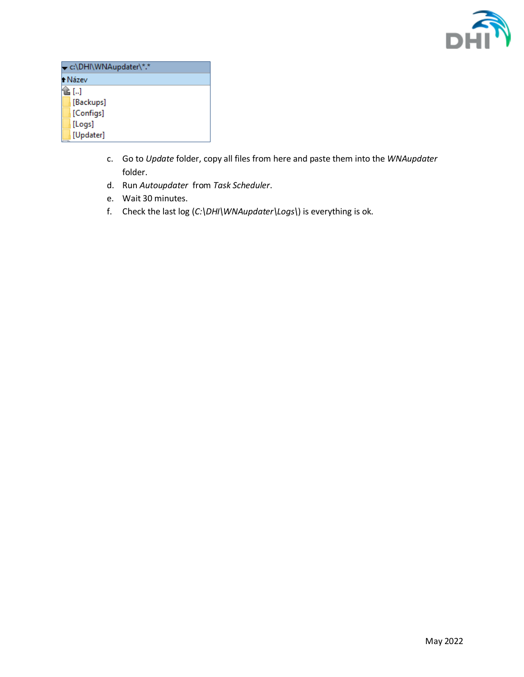

| c:\DHI\WNAupdater\*.* |  |  |  |  |
|-----------------------|--|--|--|--|
| ↑ Název               |  |  |  |  |
| È []                  |  |  |  |  |
| [Backups]             |  |  |  |  |
| [Configs]             |  |  |  |  |
| [Logs]                |  |  |  |  |
| [Updater]             |  |  |  |  |

- c. Go to *Update* folder, copy all files from here and paste them into the *WNAupdater* folder.
- d. Run *Autoupdater* from *Task Scheduler*.
- e. Wait 30 minutes.
- f. Check the last log (*C:\DHI\WNAupdater\Logs\*) is everything is ok.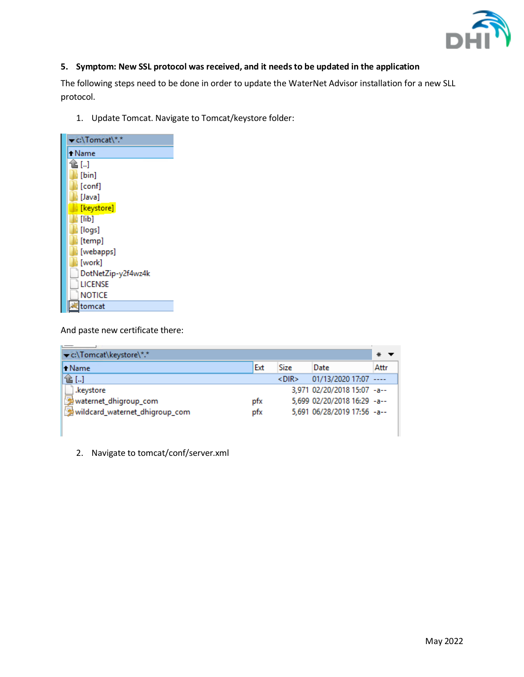

# <span id="page-7-0"></span>**5. Symptom: New SSL protocol was received, and it needs to be updated in the application**

The following steps need to be done in order to update the WaterNet Advisor installation for a new SLL protocol.

1. Update Tomcat. Navigate to Tomcat/keystore folder:

| c:\Tomcat\*.*      |
|--------------------|
| +Name              |
| î≧ []              |
| [bin]              |
| [conf]             |
| i [Java]           |
| [keystore]         |
| $\blacksquare$     |
| [logs]             |
| [temp]             |
| [webapps]          |
| [work]             |
| DotNetZip-y2f4wz4k |
| LICENSE            |
| NOTICE             |
| tomcat             |

And paste new certificate there:

I

| c:\Tomcat\keystore\*.*         |     |          |                             | ∗    |
|--------------------------------|-----|----------|-----------------------------|------|
| l <sup>+</sup> Name            | Ext | Size     | Date                        | Attr |
| 仓[…]                           |     | $<$ DIR> | 01/13/2020 17:07 ----       |      |
| .keystore                      |     |          | 3.971 02/20/2018 15:07 -a-- |      |
| waternet_dhigroup_com          | ptx |          | 5,699 02/20/2018 16:29 -a-- |      |
| wildcard_waternet_dhigroup_com | pfx |          | 5,691 06/28/2019 17:56 -a-- |      |
|                                |     |          |                             |      |

2. Navigate to tomcat/conf/server.xml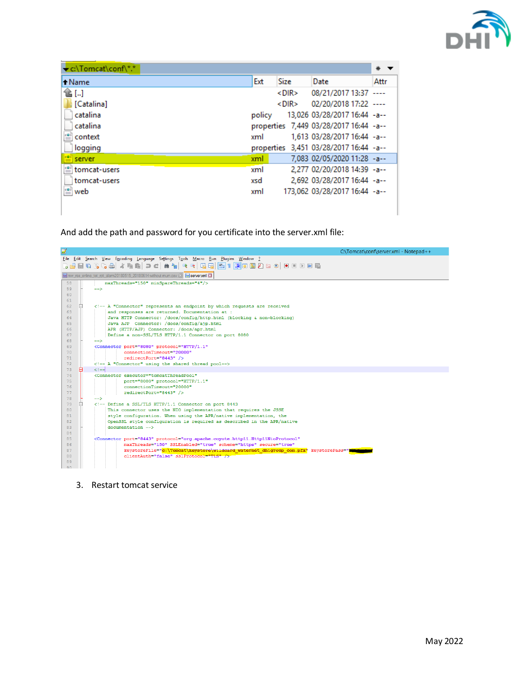

| C:\Tomcat\conf\*.*                |        |             |                                        | ∗    |
|-----------------------------------|--------|-------------|----------------------------------------|------|
| + Name                            | Ext    | <b>Size</b> | Date                                   | Attr |
| 仓[]                               |        | $<$ DIR $>$ | 08/21/2017 13:37                       |      |
| [Catalina]                        |        | $<$ DIR $>$ | 02/20/2018 17:22 ----                  |      |
| catalina                          | policy |             | 13,026 03/28/2017 16:44 -a--           |      |
| catalina                          |        |             | properties 7,449 03/28/2017 16:44 -a-- |      |
| context                           | xml    |             | 1,613 03/28/2017 16:44 - a--           |      |
| logging                           |        |             | properties 3,451 03/28/2017 16:44 -a-- |      |
| server                            | xml    |             | 7,083 02/05/2020 11:28 -a--            |      |
| tomcat-users                      | xml    |             | 2,277 02/20/2018 14:39 -a--            |      |
| tomcat-users                      | xsd    |             | 2,692 03/28/2017 16:44 -a--            |      |
| $\stackrel{\cdot \bullet}{=}$ web | xml    |             | 173,062 03/28/2017 16:44 -a--          |      |
|                                   |        |             |                                        |      |

And add the path and password for you certificate into the server.xml file:



3. Restart tomcat service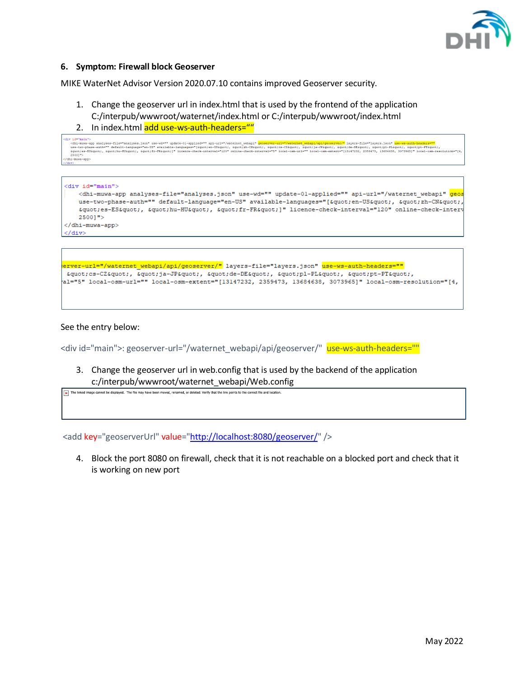

## <span id="page-9-0"></span>**6. Symptom: Firewall block Geoserver**

MIKE WaterNet Advisor Version 2020.07.10 contains improved Geoserver security.

- 1. Change the geoserver url in index.html that is used by the frontend of the application C:/interpub/wwwroot/waternet/index.html or C:/interpub/wwwroot/index.html
- 2. In index.html add use-ws-auth-headers=""

```
ridmiman"><br><dmimmux=app analyzes-file="analyzes.jsom" use-wd="" update-Oi-applied="" applied=""applied="" <mark>wear-very-enterpretational applied=the the state of the state applied the state applied that the state applied the </mark>
dn1-muwa-app
```

```
<div id="main">
   <dhi-muwa-app analyses-file="analyses.json" use-wd="" update-01-applied="" api-url="/waternet_webapi" <mark>gec</mark>
   use-two-phase-auth="" default-language="en-US" available-languages="["en-US", "zh-CN"
   "es-ES", "hu-HU", "fr-FR"]" licence-check-interval="120" online-check-interv
   25001"</dhi-muwa-app>
\langle/div\rangle
```

```
<mark>erver-url="/waternet webapi/api/geoserver/"</mark> layers-file="layers.json" <mark>use-ws-auth-headers=""</mark>
"cs-CZ", "ja-JP", "de-DE", "pl-PL", "pt-PT",
al="5" local-osm-url="" local-osm-extent="[13147232, 2359473, 13684638, 3073965]" local-osm-resolution="[4,
```
#### See the entry below:

<div id="main">: geoserver-url="/waternet\_webapi/api/geoserver/" use-ws-auth-headers=""

3. Change the geoserver url in web.config that is used by the backend of the application c:/interpub/wwwroot/waternet\_webapi/Web.config

The linked image cannot be displayed. The file may have been moved, renamed, or deleted. Verify that the link points to the correct file and location.

<add key="geoserverUrl" value=["http://localhost:8080/geoserver/"](http://localhost:8080/geoserver/) />

4. Block the port 8080 on firewall, check that it is not reachable on a blocked port and check that it is working on new port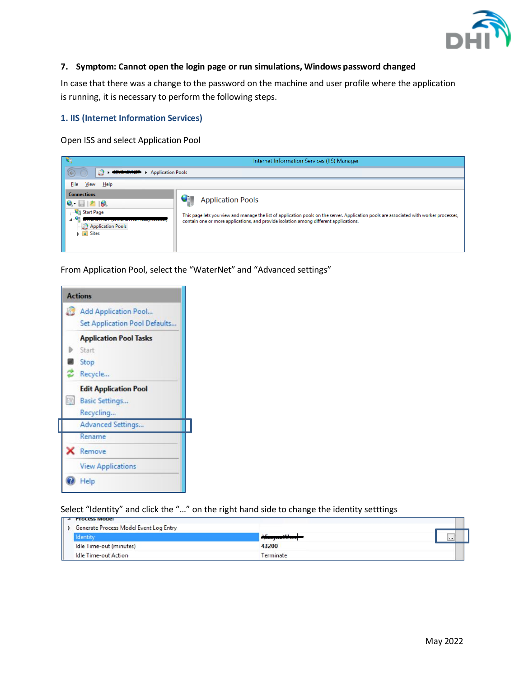

## <span id="page-10-0"></span>**7. Symptom: Cannot open the login page or run simulations, Windows password changed**

In case that there was a change to the password on the machine and user profile where the application is running, it is necessary to perform the following steps.

# **1. IIS (Internet Information Services)**

Open ISS and select Application Pool

| P€≣                                                                                                                                                                                                       | Internet Information Services (IIS) Manager                                                                                                                                                                                                                  |  |  |  |  |  |
|-----------------------------------------------------------------------------------------------------------------------------------------------------------------------------------------------------------|--------------------------------------------------------------------------------------------------------------------------------------------------------------------------------------------------------------------------------------------------------------|--|--|--|--|--|
| đ<br><b>Application Pools</b><br>$\ddot{\phantom{1}}$                                                                                                                                                     |                                                                                                                                                                                                                                                              |  |  |  |  |  |
| <b>File</b><br>View<br>$He$ lp                                                                                                                                                                            |                                                                                                                                                                                                                                                              |  |  |  |  |  |
| <b>Connections</b><br>$\bullet$ $\Box$ $\bullet$ $\bullet$<br><b>Start Page</b><br><b>SILLEWATIVE LIGHTERATIVE LIFESTIFICASED</b><br><b>Application Pools</b><br>$\triangleright$ $\cdot$ $\bullet$ Sites | <b>Application Pools</b><br>This page lets you view and manage the list of application pools on the server. Application pools are associated with worker processes,<br>contain one or more applications, and provide isolation among different applications. |  |  |  |  |  |

From Application Pool, select the "WaterNet" and "Advanced settings"

| <b>Actions</b>                |
|-------------------------------|
| Add Application Pool          |
| Set Application Pool Defaults |
| <b>Application Pool Tasks</b> |
| Start                         |
| Stop                          |
| Recycle                       |
| <b>Edit Application Pool</b>  |
| <b>Basic Settings</b>         |
| Recycling                     |
| <b>Advanced Settings</b>      |
| Rename                        |
| Remove                        |
| <b>View Applications</b>      |
| Help                          |

Select "Identity" and click the "…" on the right hand side to change the identity setttings

| $\parallel$ 4 Process Model            |                                |        |
|----------------------------------------|--------------------------------|--------|
| Generate Process Model Event Log Entry |                                |        |
| dentity                                | 15.11<br><b>Lines Lucrasci</b> | $-111$ |
| Idle Time-out (minutes)                | 43200                          |        |
| Idle Time-out Action                   | Terminate                      |        |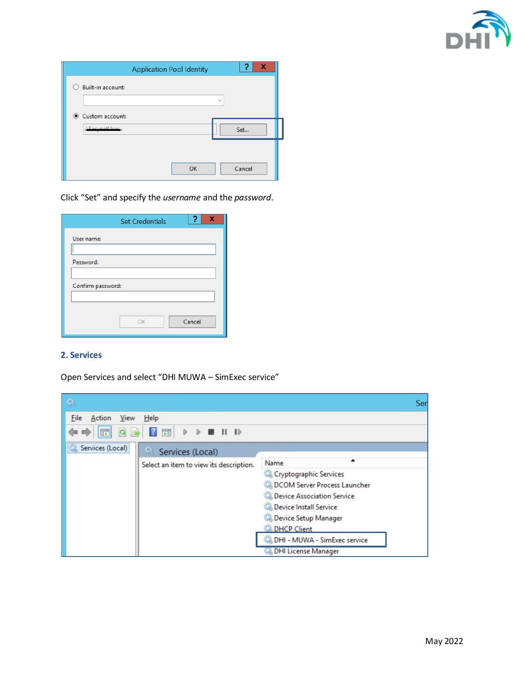

|                                    | <b>Application Pool Identity</b> |                         | R<br>x |
|------------------------------------|----------------------------------|-------------------------|--------|
| <b>Built-in account:</b>           |                                  | $\mathbf{t}_{\rm{tot}}$ |        |
| Custom account:<br>◉<br>LEarnetter |                                  |                         | Set    |
|                                    | OK                               |                         | Cancel |

Click "Set" and specify the *username* and the *password*.

|                   | <b>Set Credentials</b> | X<br>7 |
|-------------------|------------------------|--------|
| User name:        |                        |        |
|                   |                        |        |
| Password:         |                        |        |
|                   |                        |        |
| Confirm password: |                        |        |
|                   |                        |        |
|                   |                        |        |
|                   | OK                     | Cancel |
|                   |                        |        |

# **2. Services**

Open Services and select "DHI MUWA – SimExec service"

|                                                                                           | Ser                                                                                                                                                                                                                              |
|-------------------------------------------------------------------------------------------|----------------------------------------------------------------------------------------------------------------------------------------------------------------------------------------------------------------------------------|
| File<br>View<br>He<br>Action<br><b>QB 7 T &gt; &gt; 0 H ID</b><br>$\overline{\mathbb{R}}$ |                                                                                                                                                                                                                                  |
| Services (Local)<br>Q<br>Services (Local)<br>Select an item to view its description.      | ▲<br>Name<br>Cryptographic Services<br>DCOM Server Process Launcher<br>Device Association Service<br>Device Install Service<br>Device Setup Manager<br><b>DHCP Client</b><br>DHI - MUWA - SimExec service<br>DHI License Manager |